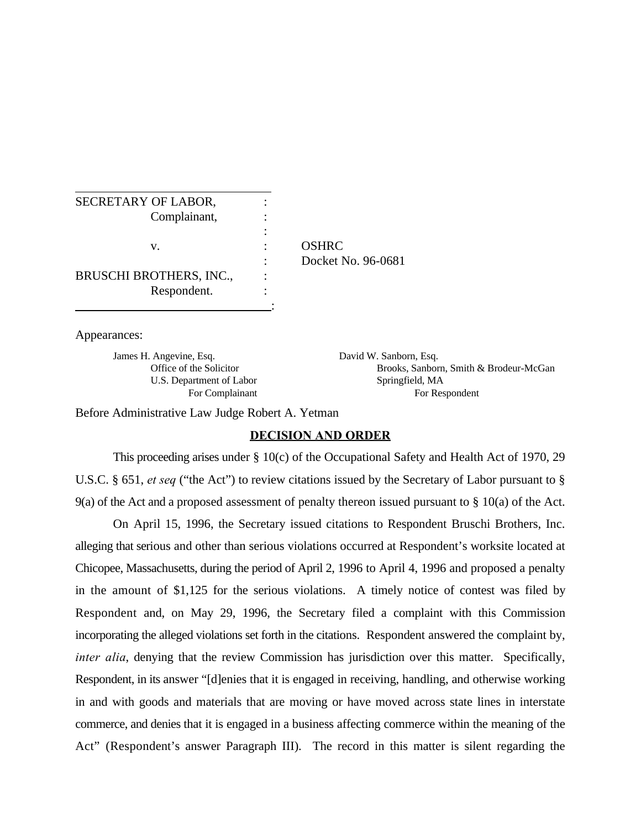| SECRETARY OF LABOR,            |                    |
|--------------------------------|--------------------|
|                                |                    |
| Complainant,                   |                    |
|                                |                    |
| v.                             | <b>OSHRC</b>       |
|                                | Docket No. 96-0681 |
| <b>BRUSCHI BROTHERS, INC.,</b> |                    |
| Respondent.                    |                    |
|                                |                    |

Appearances:

James H. Angevine, Esq. David W. Sanborn, Esq. U.S. Department of Labor Springfield, MA

Office of the Solicitor Brooks, Sanborn, Smith & Brodeur-McGan For Complainant For Respondent

Before Administrative Law Judge Robert A. Yetman

## **DECISION AND ORDER**

This proceeding arises under § 10(c) of the Occupational Safety and Health Act of 1970, 29 U.S.C. § 651, *et seq* ("the Act") to review citations issued by the Secretary of Labor pursuant to § 9(a) of the Act and a proposed assessment of penalty thereon issued pursuant to § 10(a) of the Act.

On April 15, 1996, the Secretary issued citations to Respondent Bruschi Brothers, Inc. alleging that serious and other than serious violations occurred at Respondent's worksite located at Chicopee, Massachusetts, during the period of April 2, 1996 to April 4, 1996 and proposed a penalty in the amount of \$1,125 for the serious violations. A timely notice of contest was filed by Respondent and, on May 29, 1996, the Secretary filed a complaint with this Commission incorporating the alleged violations set forth in the citations. Respondent answered the complaint by, *inter alia*, denying that the review Commission has jurisdiction over this matter. Specifically, Respondent, in its answer "[d]enies that it is engaged in receiving, handling, and otherwise working in and with goods and materials that are moving or have moved across state lines in interstate commerce, and denies that it is engaged in a business affecting commerce within the meaning of the Act" (Respondent's answer Paragraph III). The record in this matter is silent regarding the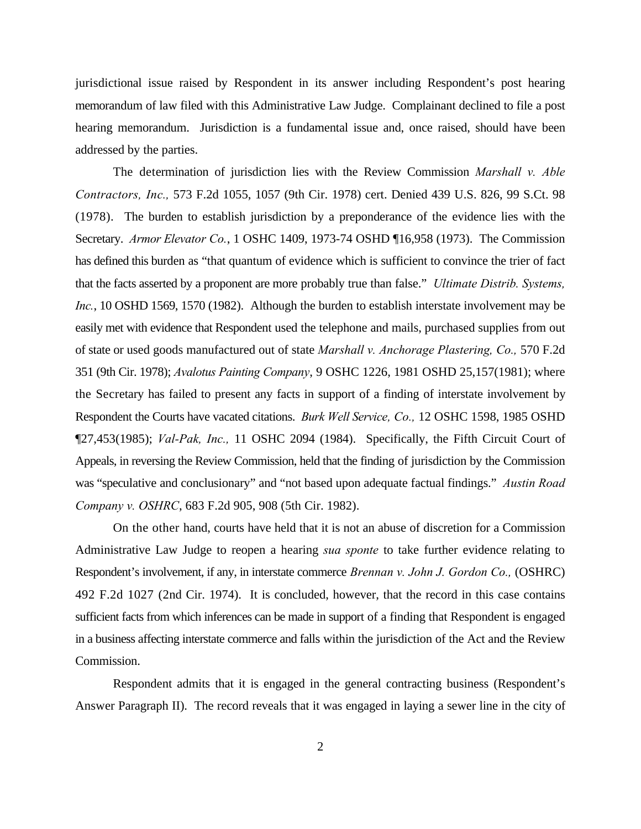jurisdictional issue raised by Respondent in its answer including Respondent's post hearing memorandum of law filed with this Administrative Law Judge. Complainant declined to file a post hearing memorandum. Jurisdiction is a fundamental issue and, once raised, should have been addressed by the parties.

The determination of jurisdiction lies with the Review Commission *Marshall v. Able Contractors, Inc.,* 573 F.2d 1055, 1057 (9th Cir. 1978) cert. Denied 439 U.S. 826, 99 S.Ct. 98 (1978). The burden to establish jurisdiction by a preponderance of the evidence lies with the Secretary. *Armor Elevator Co.*, 1 OSHC 1409, 1973-74 OSHD ¶16,958 (1973). The Commission has defined this burden as "that quantum of evidence which is sufficient to convince the trier of fact that the facts asserted by a proponent are more probably true than false." *Ultimate Distrib. Systems, Inc.*, 10 OSHD 1569, 1570 (1982). Although the burden to establish interstate involvement may be easily met with evidence that Respondent used the telephone and mails, purchased supplies from out of state or used goods manufactured out of state *Marshall v. Anchorage Plastering, Co.,* 570 F.2d 351 (9th Cir. 1978); *Avalotus Painting Company*, 9 OSHC 1226, 1981 OSHD 25,157(1981); where the Secretary has failed to present any facts in support of a finding of interstate involvement by Respondent the Courts have vacated citations. *Burk Well Service, Co.,* 12 OSHC 1598, 1985 OSHD ¶27,453(1985); *Val-Pak, Inc.,* 11 OSHC 2094 (1984). Specifically, the Fifth Circuit Court of Appeals, in reversing the Review Commission, held that the finding of jurisdiction by the Commission was "speculative and conclusionary" and "not based upon adequate factual findings." *Austin Road Company v. OSHRC*, 683 F.2d 905, 908 (5th Cir. 1982).

On the other hand, courts have held that it is not an abuse of discretion for a Commission Administrative Law Judge to reopen a hearing *sua sponte* to take further evidence relating to Respondent's involvement, if any, in interstate commerce *Brennan v. John J. Gordon Co.,* (OSHRC) 492 F.2d 1027 (2nd Cir. 1974). It is concluded, however, that the record in this case contains sufficient facts from which inferences can be made in support of a finding that Respondent is engaged in a business affecting interstate commerce and falls within the jurisdiction of the Act and the Review Commission.

Respondent admits that it is engaged in the general contracting business (Respondent's Answer Paragraph II). The record reveals that it was engaged in laying a sewer line in the city of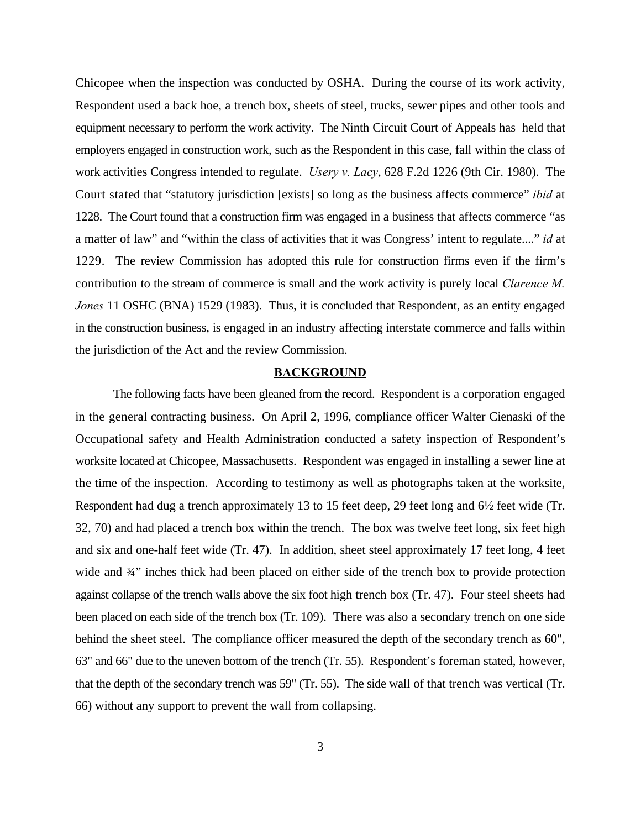Chicopee when the inspection was conducted by OSHA. During the course of its work activity, Respondent used a back hoe, a trench box, sheets of steel, trucks, sewer pipes and other tools and equipment necessary to perform the work activity. The Ninth Circuit Court of Appeals has held that employers engaged in construction work, such as the Respondent in this case, fall within the class of work activities Congress intended to regulate. *Usery v. Lacy*, 628 F.2d 1226 (9th Cir. 1980). The Court stated that "statutory jurisdiction [exists] so long as the business affects commerce" *ibid* at 1228. The Court found that a construction firm was engaged in a business that affects commerce "as a matter of law" and "within the class of activities that it was Congress' intent to regulate...." *id* at 1229. The review Commission has adopted this rule for construction firms even if the firm's contribution to the stream of commerce is small and the work activity is purely local *Clarence M. Jones* 11 OSHC (BNA) 1529 (1983). Thus, it is concluded that Respondent, as an entity engaged in the construction business, is engaged in an industry affecting interstate commerce and falls within the jurisdiction of the Act and the review Commission.

#### **BACKGROUND**

The following facts have been gleaned from the record. Respondent is a corporation engaged in the general contracting business. On April 2, 1996, compliance officer Walter Cienaski of the Occupational safety and Health Administration conducted a safety inspection of Respondent's worksite located at Chicopee, Massachusetts. Respondent was engaged in installing a sewer line at the time of the inspection. According to testimony as well as photographs taken at the worksite, Respondent had dug a trench approximately 13 to 15 feet deep, 29 feet long and 6½ feet wide (Tr. 32, 70) and had placed a trench box within the trench. The box was twelve feet long, six feet high and six and one-half feet wide (Tr. 47). In addition, sheet steel approximately 17 feet long, 4 feet wide and  $\frac{3}{4}$ " inches thick had been placed on either side of the trench box to provide protection against collapse of the trench walls above the six foot high trench box (Tr. 47). Four steel sheets had been placed on each side of the trench box (Tr. 109). There was also a secondary trench on one side behind the sheet steel. The compliance officer measured the depth of the secondary trench as 60", 63" and 66" due to the uneven bottom of the trench (Tr. 55). Respondent's foreman stated, however, that the depth of the secondary trench was 59" (Tr. 55). The side wall of that trench was vertical (Tr. 66) without any support to prevent the wall from collapsing.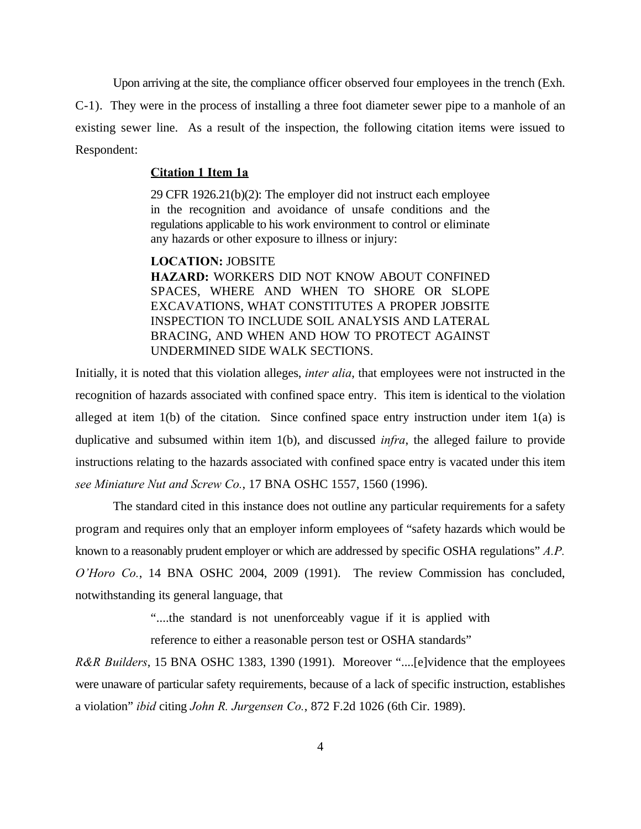Upon arriving at the site, the compliance officer observed four employees in the trench (Exh. C-1). They were in the process of installing a three foot diameter sewer pipe to a manhole of an existing sewer line. As a result of the inspection, the following citation items were issued to Respondent:

### **Citation 1 Item 1a**

29 CFR 1926.21(b)(2): The employer did not instruct each employee in the recognition and avoidance of unsafe conditions and the regulations applicable to his work environment to control or eliminate any hazards or other exposure to illness or injury:

**LOCATION:** JOBSITE **HAZARD:** WORKERS DID NOT KNOW ABOUT CONFINED SPACES, WHERE AND WHEN TO SHORE OR SLOPE EXCAVATIONS, WHAT CONSTITUTES A PROPER JOBSITE INSPECTION TO INCLUDE SOIL ANALYSIS AND LATERAL BRACING, AND WHEN AND HOW TO PROTECT AGAINST UNDERMINED SIDE WALK SECTIONS.

Initially, it is noted that this violation alleges, *inter alia*, that employees were not instructed in the recognition of hazards associated with confined space entry. This item is identical to the violation alleged at item 1(b) of the citation. Since confined space entry instruction under item 1(a) is duplicative and subsumed within item 1(b), and discussed *infra*, the alleged failure to provide instructions relating to the hazards associated with confined space entry is vacated under this item *see Miniature Nut and Screw Co.*, 17 BNA OSHC 1557, 1560 (1996).

The standard cited in this instance does not outline any particular requirements for a safety program and requires only that an employer inform employees of "safety hazards which would be known to a reasonably prudent employer or which are addressed by specific OSHA regulations" *A.P. O'Horo Co.*, 14 BNA OSHC 2004, 2009 (1991). The review Commission has concluded, notwithstanding its general language, that

"....the standard is not unenforceably vague if it is applied with

reference to either a reasonable person test or OSHA standards"

*R&R Builders*, 15 BNA OSHC 1383, 1390 (1991). Moreover "....[e]vidence that the employees were unaware of particular safety requirements, because of a lack of specific instruction, establishes a violation" *ibid* citing *John R. Jurgensen Co.*, 872 F.2d 1026 (6th Cir. 1989).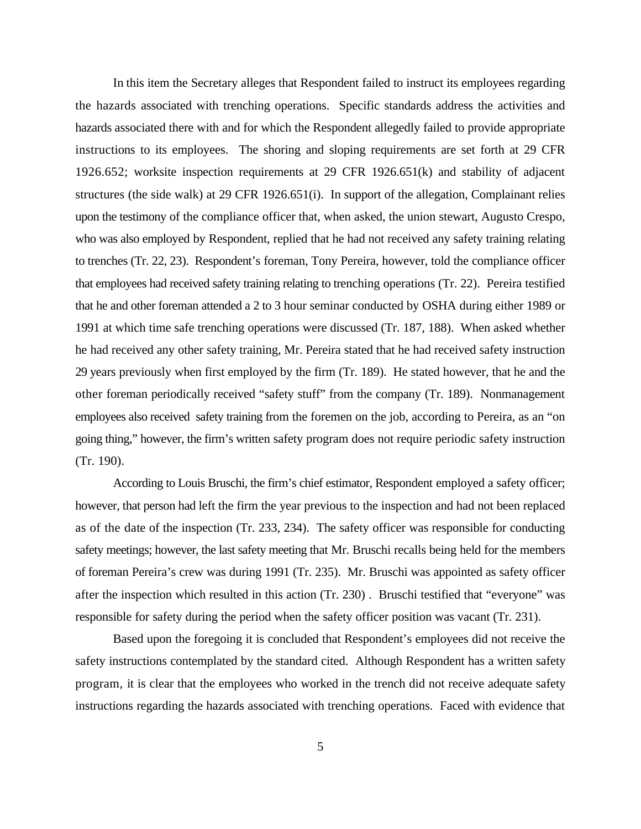In this item the Secretary alleges that Respondent failed to instruct its employees regarding the hazards associated with trenching operations. Specific standards address the activities and hazards associated there with and for which the Respondent allegedly failed to provide appropriate instructions to its employees. The shoring and sloping requirements are set forth at 29 CFR 1926.652; worksite inspection requirements at 29 CFR 1926.651(k) and stability of adjacent structures (the side walk) at 29 CFR 1926.651(i). In support of the allegation, Complainant relies upon the testimony of the compliance officer that, when asked, the union stewart, Augusto Crespo, who was also employed by Respondent, replied that he had not received any safety training relating to trenches (Tr. 22, 23). Respondent's foreman, Tony Pereira, however, told the compliance officer that employees had received safety training relating to trenching operations (Tr. 22). Pereira testified that he and other foreman attended a 2 to 3 hour seminar conducted by OSHA during either 1989 or 1991 at which time safe trenching operations were discussed (Tr. 187, 188). When asked whether he had received any other safety training, Mr. Pereira stated that he had received safety instruction 29 years previously when first employed by the firm (Tr. 189). He stated however, that he and the other foreman periodically received "safety stuff" from the company (Tr. 189). Nonmanagement employees also received safety training from the foremen on the job, according to Pereira, as an "on going thing," however, the firm's written safety program does not require periodic safety instruction (Tr. 190).

According to Louis Bruschi, the firm's chief estimator, Respondent employed a safety officer; however, that person had left the firm the year previous to the inspection and had not been replaced as of the date of the inspection (Tr. 233, 234). The safety officer was responsible for conducting safety meetings; however, the last safety meeting that Mr. Bruschi recalls being held for the members of foreman Pereira's crew was during 1991 (Tr. 235). Mr. Bruschi was appointed as safety officer after the inspection which resulted in this action (Tr. 230) . Bruschi testified that "everyone" was responsible for safety during the period when the safety officer position was vacant (Tr. 231).

Based upon the foregoing it is concluded that Respondent's employees did not receive the safety instructions contemplated by the standard cited. Although Respondent has a written safety program, it is clear that the employees who worked in the trench did not receive adequate safety instructions regarding the hazards associated with trenching operations. Faced with evidence that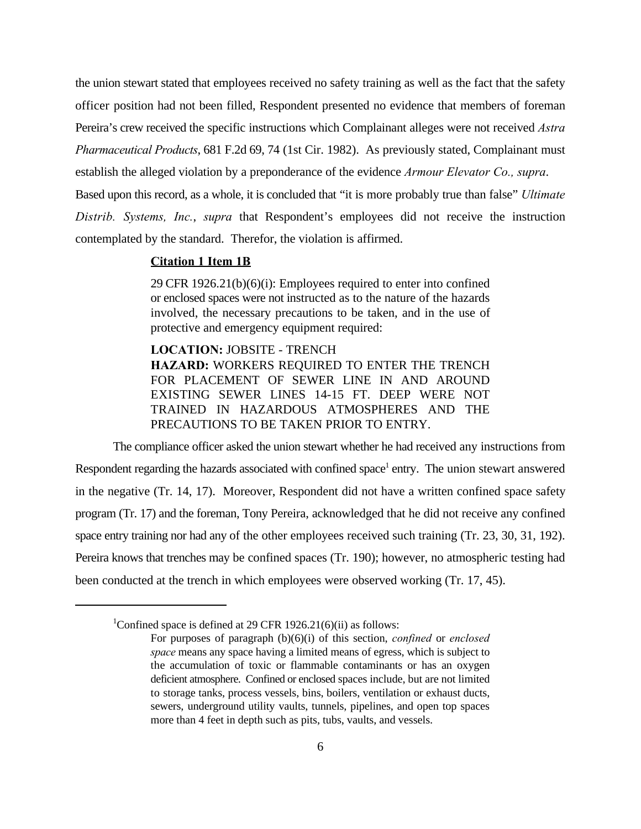the union stewart stated that employees received no safety training as well as the fact that the safety officer position had not been filled, Respondent presented no evidence that members of foreman Pereira's crew received the specific instructions which Complainant alleges were not received *Astra Pharmaceutical Products*, 681 F.2d 69, 74 (1st Cir. 1982). As previously stated, Complainant must establish the alleged violation by a preponderance of the evidence *Armour Elevator Co., supra*. Based upon this record, as a whole, it is concluded that "it is more probably true than false" *Ultimate*

*Distrib. Systems, Inc.*, *supra* that Respondent's employees did not receive the instruction contemplated by the standard. Therefor, the violation is affirmed.

## **Citation 1 Item 1B**

29 CFR 1926.21(b)(6)(i): Employees required to enter into confined or enclosed spaces were not instructed as to the nature of the hazards involved, the necessary precautions to be taken, and in the use of protective and emergency equipment required:

**LOCATION:** JOBSITE - TRENCH **HAZARD:** WORKERS REQUIRED TO ENTER THE TRENCH FOR PLACEMENT OF SEWER LINE IN AND AROUND EXISTING SEWER LINES 14-15 FT. DEEP WERE NOT TRAINED IN HAZARDOUS ATMOSPHERES AND THE PRECAUTIONS TO BE TAKEN PRIOR TO ENTRY.

The compliance officer asked the union stewart whether he had received any instructions from Respondent regarding the hazards associated with confined space<sup>1</sup> entry. The union stewart answered in the negative (Tr. 14, 17). Moreover, Respondent did not have a written confined space safety program (Tr. 17) and the foreman, Tony Pereira, acknowledged that he did not receive any confined space entry training nor had any of the other employees received such training (Tr. 23, 30, 31, 192). Pereira knows that trenches may be confined spaces (Tr. 190); however, no atmospheric testing had been conducted at the trench in which employees were observed working (Tr. 17, 45).

<sup>&</sup>lt;sup>1</sup>Confined space is defined at 29 CFR 1926.21(6)(ii) as follows:

For purposes of paragraph (b)(6)(i) of this section, *confined* or *enclosed space* means any space having a limited means of egress, which is subject to the accumulation of toxic or flammable contaminants or has an oxygen deficient atmosphere. Confined or enclosed spaces include, but are not limited to storage tanks, process vessels, bins, boilers, ventilation or exhaust ducts, sewers, underground utility vaults, tunnels, pipelines, and open top spaces more than 4 feet in depth such as pits, tubs, vaults, and vessels.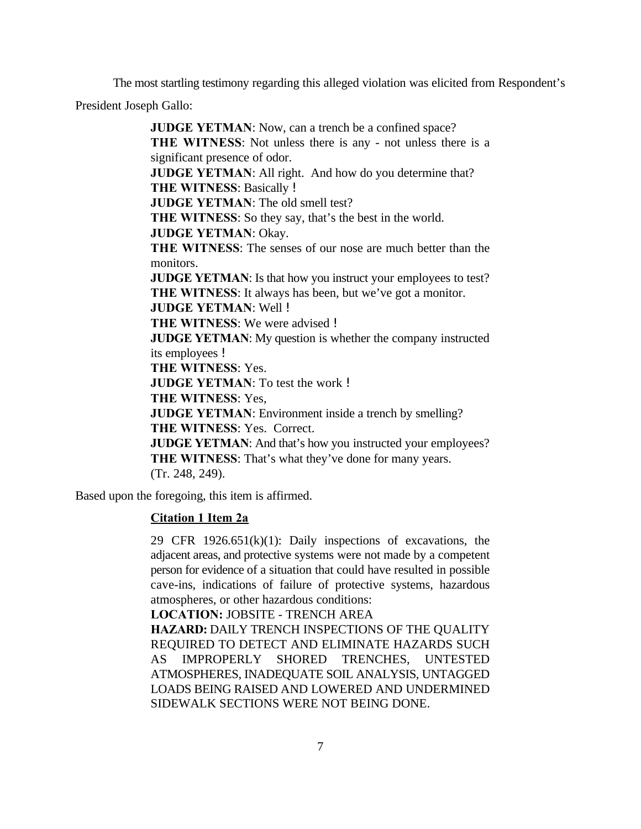The most startling testimony regarding this alleged violation was elicited from Respondent's

President Joseph Gallo:

**JUDGE YETMAN**: Now, can a trench be a confined space? **THE WITNESS**: Not unless there is any - not unless there is a significant presence of odor. **JUDGE YETMAN:** All right. And how do you determine that? **THE WITNESS**: Basically ! **JUDGE YETMAN**: The old smell test? **THE WITNESS**: So they say, that's the best in the world. **JUDGE YETMAN**: Okay. **THE WITNESS**: The senses of our nose are much better than the monitors. **JUDGE YETMAN:** Is that how you instruct your employees to test? **THE WITNESS**: It always has been, but we've got a monitor. **JUDGE YETMAN**: Well ! **THE WITNESS**: We were advised ! **JUDGE YETMAN**: My question is whether the company instructed its employees ! **THE WITNESS**: Yes. **JUDGE YETMAN**: To test the work ! **THE WITNESS**: Yes, **JUDGE YETMAN:** Environment inside a trench by smelling? **THE WITNESS**: Yes. Correct. **JUDGE YETMAN:** And that's how you instructed your employees? **THE WITNESS**: That's what they've done for many years. (Tr. 248, 249).

Based upon the foregoing, this item is affirmed.

## **Citation 1 Item 2a**

29 CFR  $1926.651(k)(1)$ : Daily inspections of excavations, the adjacent areas, and protective systems were not made by a competent person for evidence of a situation that could have resulted in possible cave-ins, indications of failure of protective systems, hazardous atmospheres, or other hazardous conditions:

**LOCATION:** JOBSITE - TRENCH AREA

**HAZARD:** DAILY TRENCH INSPECTIONS OF THE QUALITY REQUIRED TO DETECT AND ELIMINATE HAZARDS SUCH AS IMPROPERLY SHORED TRENCHES, UNTESTED ATMOSPHERES, INADEQUATE SOIL ANALYSIS, UNTAGGED LOADS BEING RAISED AND LOWERED AND UNDERMINED SIDEWALK SECTIONS WERE NOT BEING DONE.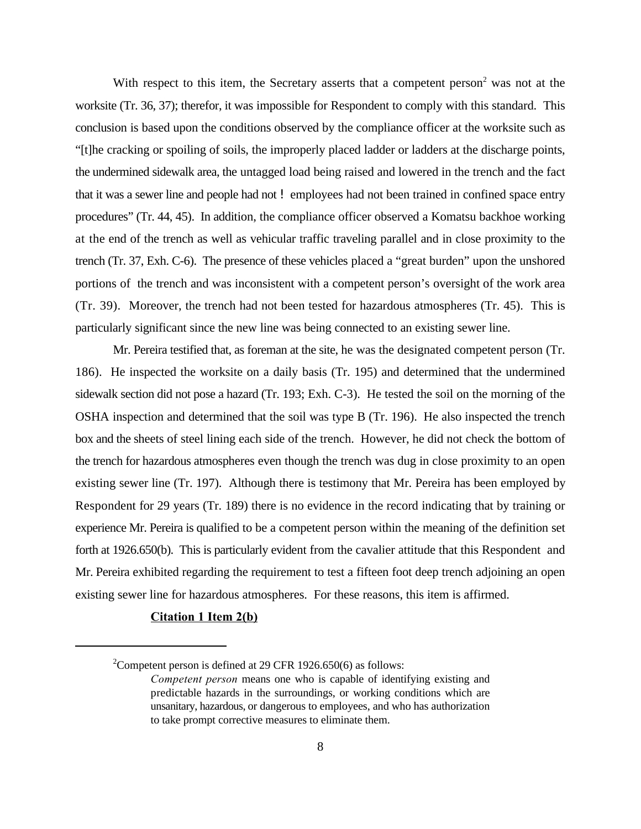With respect to this item, the Secretary asserts that a competent person<sup>2</sup> was not at the worksite (Tr. 36, 37); therefor, it was impossible for Respondent to comply with this standard. This conclusion is based upon the conditions observed by the compliance officer at the worksite such as "[t]he cracking or spoiling of soils, the improperly placed ladder or ladders at the discharge points, the undermined sidewalk area, the untagged load being raised and lowered in the trench and the fact that it was a sewer line and people had not ! employees had not been trained in confined space entry procedures" (Tr. 44, 45). In addition, the compliance officer observed a Komatsu backhoe working at the end of the trench as well as vehicular traffic traveling parallel and in close proximity to the trench (Tr. 37, Exh. C-6). The presence of these vehicles placed a "great burden" upon the unshored portions of the trench and was inconsistent with a competent person's oversight of the work area (Tr. 39). Moreover, the trench had not been tested for hazardous atmospheres (Tr. 45). This is particularly significant since the new line was being connected to an existing sewer line.

Mr. Pereira testified that, as foreman at the site, he was the designated competent person (Tr. 186). He inspected the worksite on a daily basis (Tr. 195) and determined that the undermined sidewalk section did not pose a hazard (Tr. 193; Exh. C-3). He tested the soil on the morning of the OSHA inspection and determined that the soil was type B (Tr. 196). He also inspected the trench box and the sheets of steel lining each side of the trench. However, he did not check the bottom of the trench for hazardous atmospheres even though the trench was dug in close proximity to an open existing sewer line (Tr. 197). Although there is testimony that Mr. Pereira has been employed by Respondent for 29 years (Tr. 189) there is no evidence in the record indicating that by training or experience Mr. Pereira is qualified to be a competent person within the meaning of the definition set forth at 1926.650(b). This is particularly evident from the cavalier attitude that this Respondent and Mr. Pereira exhibited regarding the requirement to test a fifteen foot deep trench adjoining an open existing sewer line for hazardous atmospheres. For these reasons, this item is affirmed.

## **Citation 1 Item 2(b)**

<sup>&</sup>lt;sup>2</sup>Competent person is defined at 29 CFR 1926.650(6) as follows:

*Competent person* means one who is capable of identifying existing and predictable hazards in the surroundings, or working conditions which are unsanitary, hazardous, or dangerous to employees, and who has authorization to take prompt corrective measures to eliminate them.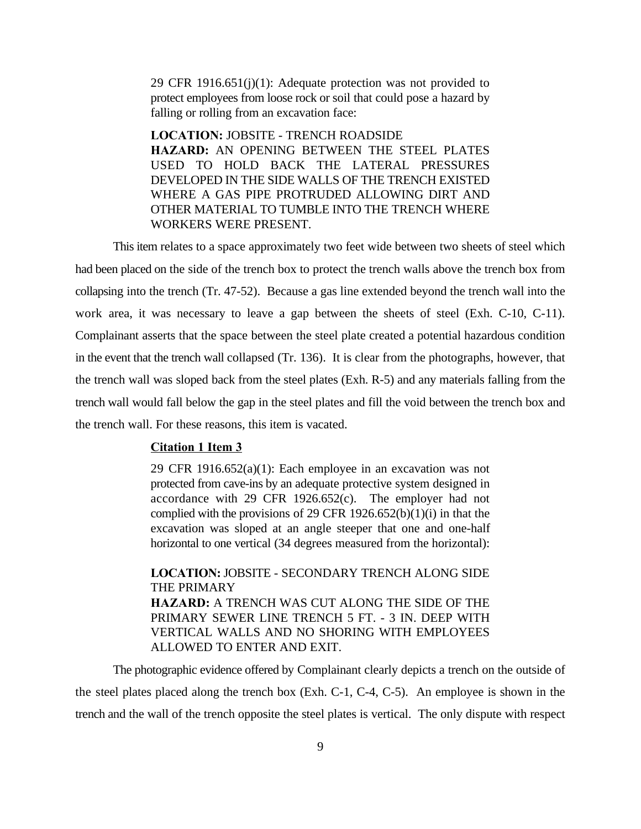29 CFR 1916.651(j)(1): Adequate protection was not provided to protect employees from loose rock or soil that could pose a hazard by falling or rolling from an excavation face:

**LOCATION:** JOBSITE - TRENCH ROADSIDE **HAZARD:** AN OPENING BETWEEN THE STEEL PLATES USED TO HOLD BACK THE LATERAL PRESSURES DEVELOPED IN THE SIDE WALLS OF THE TRENCH EXISTED WHERE A GAS PIPE PROTRUDED ALLOWING DIRT AND OTHER MATERIAL TO TUMBLE INTO THE TRENCH WHERE WORKERS WERE PRESENT.

This item relates to a space approximately two feet wide between two sheets of steel which had been placed on the side of the trench box to protect the trench walls above the trench box from collapsing into the trench (Tr. 47-52). Because a gas line extended beyond the trench wall into the work area, it was necessary to leave a gap between the sheets of steel (Exh. C-10, C-11). Complainant asserts that the space between the steel plate created a potential hazardous condition in the event that the trench wall collapsed (Tr. 136). It is clear from the photographs, however, that the trench wall was sloped back from the steel plates (Exh. R-5) and any materials falling from the trench wall would fall below the gap in the steel plates and fill the void between the trench box and the trench wall. For these reasons, this item is vacated.

### **Citation 1 Item 3**

29 CFR 1916.652(a)(1): Each employee in an excavation was not protected from cave-ins by an adequate protective system designed in accordance with 29 CFR 1926.652(c). The employer had not complied with the provisions of 29 CFR 1926.652(b)(1)(i) in that the excavation was sloped at an angle steeper that one and one-half horizontal to one vertical (34 degrees measured from the horizontal):

**LOCATION:** JOBSITE - SECONDARY TRENCH ALONG SIDE THE PRIMARY **HAZARD:** A TRENCH WAS CUT ALONG THE SIDE OF THE PRIMARY SEWER LINE TRENCH 5 FT. - 3 IN. DEEP WITH VERTICAL WALLS AND NO SHORING WITH EMPLOYEES ALLOWED TO ENTER AND EXIT.

The photographic evidence offered by Complainant clearly depicts a trench on the outside of the steel plates placed along the trench box (Exh. C-1, C-4, C-5). An employee is shown in the trench and the wall of the trench opposite the steel plates is vertical. The only dispute with respect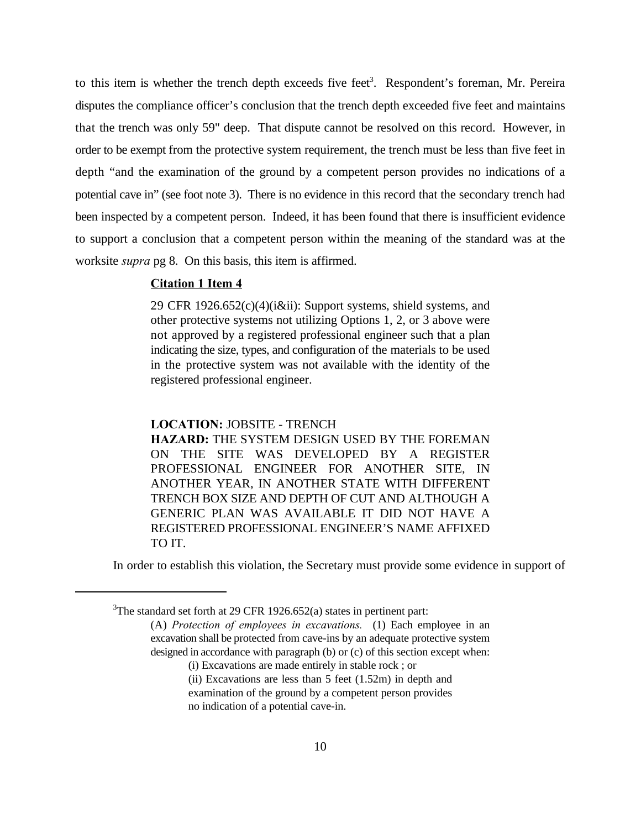to this item is whether the trench depth exceeds five feet<sup>3</sup>. Respondent's foreman, Mr. Pereira disputes the compliance officer's conclusion that the trench depth exceeded five feet and maintains that the trench was only 59" deep. That dispute cannot be resolved on this record. However, in order to be exempt from the protective system requirement, the trench must be less than five feet in depth "and the examination of the ground by a competent person provides no indications of a potential cave in" (see foot note 3). There is no evidence in this record that the secondary trench had been inspected by a competent person. Indeed, it has been found that there is insufficient evidence to support a conclusion that a competent person within the meaning of the standard was at the worksite *supra* pg 8. On this basis, this item is affirmed.

## **Citation 1 Item 4**

29 CFR 1926.652(c)(4)(i&ii): Support systems, shield systems, and other protective systems not utilizing Options 1, 2, or 3 above were not approved by a registered professional engineer such that a plan indicating the size, types, and configuration of the materials to be used in the protective system was not available with the identity of the registered professional engineer.

#### **LOCATION:** JOBSITE - TRENCH

**HAZARD:** THE SYSTEM DESIGN USED BY THE FOREMAN ON THE SITE WAS DEVELOPED BY A REGISTER PROFESSIONAL ENGINEER FOR ANOTHER SITE, IN ANOTHER YEAR, IN ANOTHER STATE WITH DIFFERENT TRENCH BOX SIZE AND DEPTH OF CUT AND ALTHOUGH A GENERIC PLAN WAS AVAILABLE IT DID NOT HAVE A REGISTERED PROFESSIONAL ENGINEER'S NAME AFFIXED TO IT.

In order to establish this violation, the Secretary must provide some evidence in support of

(i) Excavations are made entirely in stable rock ; or

<sup>&</sup>lt;sup>3</sup>The standard set forth at 29 CFR 1926.652(a) states in pertinent part:

<sup>(</sup>A) *Protection of employees in excavations.* (1) Each employee in an excavation shall be protected from cave-ins by an adequate protective system designed in accordance with paragraph (b) or (c) of this section except when:

<sup>(</sup>ii) Excavations are less than 5 feet (1.52m) in depth and examination of the ground by a competent person provides no indication of a potential cave-in.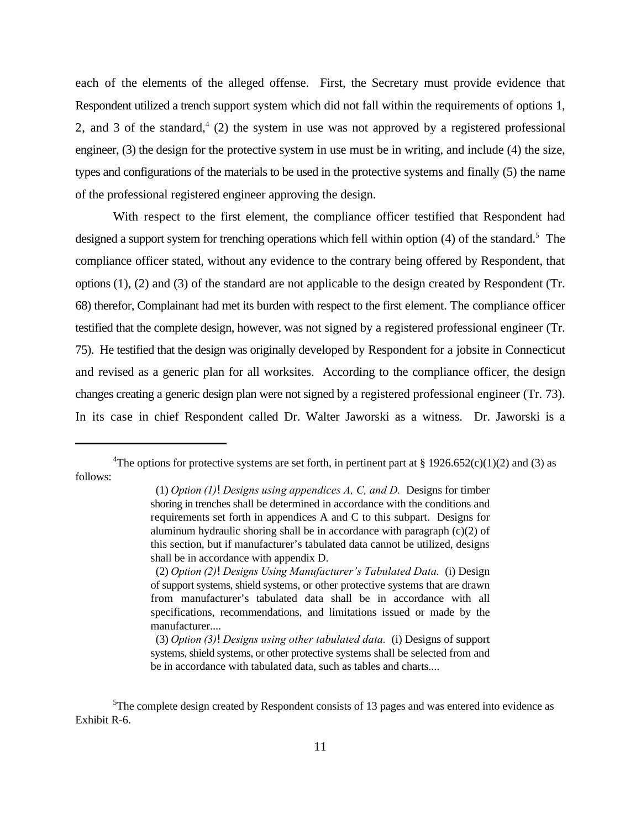each of the elements of the alleged offense. First, the Secretary must provide evidence that Respondent utilized a trench support system which did not fall within the requirements of options 1, 2, and 3 of the standard, $4$  (2) the system in use was not approved by a registered professional engineer, (3) the design for the protective system in use must be in writing, and include (4) the size, types and configurations of the materials to be used in the protective systems and finally (5) the name of the professional registered engineer approving the design.

With respect to the first element, the compliance officer testified that Respondent had designed a support system for trenching operations which fell within option  $(4)$  of the standard.<sup>5</sup> The compliance officer stated, without any evidence to the contrary being offered by Respondent, that options (1), (2) and (3) of the standard are not applicable to the design created by Respondent (Tr. 68) therefor, Complainant had met its burden with respect to the first element. The compliance officer testified that the complete design, however, was not signed by a registered professional engineer (Tr. 75). He testified that the design was originally developed by Respondent for a jobsite in Connecticut and revised as a generic plan for all worksites. According to the compliance officer, the design changes creating a generic design plan were not signed by a registered professional engineer (Tr. 73). In its case in chief Respondent called Dr. Walter Jaworski as a witness. Dr. Jaworski is a

<sup>&</sup>lt;sup>4</sup>The options for protective systems are set forth, in pertinent part at § 1926.652(c)(1)(2) and (3) as follows:

 <sup>(1)</sup> *Option (1)!Designs using appendices A, C, and D.* Designs for timber shoring in trenches shall be determined in accordance with the conditions and requirements set forth in appendices A and C to this subpart. Designs for aluminum hydraulic shoring shall be in accordance with paragraph (c)(2) of this section, but if manufacturer's tabulated data cannot be utilized, designs shall be in accordance with appendix D.

 <sup>(2)</sup> *Option (2)!Designs Using Manufacturer's Tabulated Data.* (i) Design of support systems, shield systems, or other protective systems that are drawn from manufacturer's tabulated data shall be in accordance with all specifications, recommendations, and limitations issued or made by the manufacturer....

 <sup>(3)</sup> *Option (3)!Designs using other tabulated data.* (i) Designs of support systems, shield systems, or other protective systems shall be selected from and be in accordance with tabulated data, such as tables and charts....

 ${}^{5}$ The complete design created by Respondent consists of 13 pages and was entered into evidence as Exhibit R-6.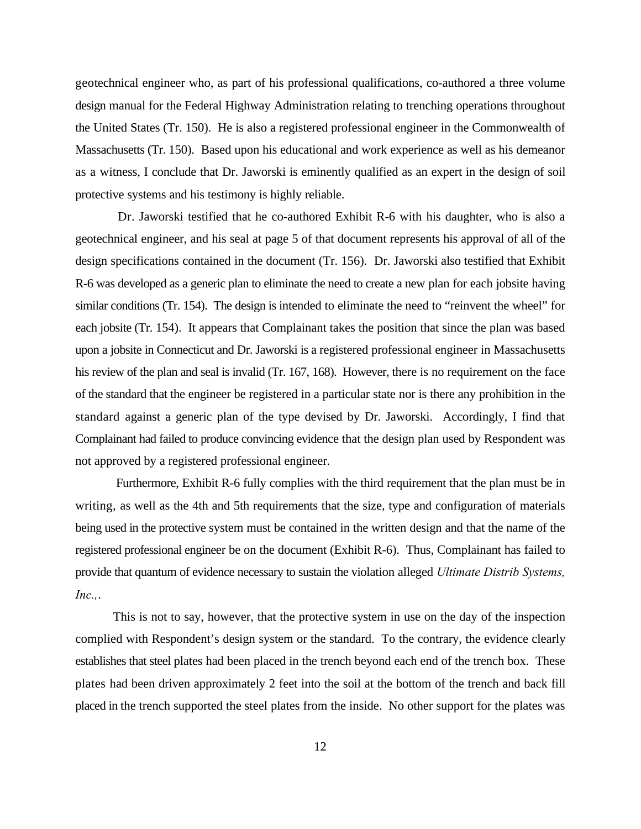geotechnical engineer who, as part of his professional qualifications, co-authored a three volume design manual for the Federal Highway Administration relating to trenching operations throughout the United States (Tr. 150). He is also a registered professional engineer in the Commonwealth of Massachusetts (Tr. 150). Based upon his educational and work experience as well as his demeanor as a witness, I conclude that Dr. Jaworski is eminently qualified as an expert in the design of soil protective systems and his testimony is highly reliable.

 Dr. Jaworski testified that he co-authored Exhibit R-6 with his daughter, who is also a geotechnical engineer, and his seal at page 5 of that document represents his approval of all of the design specifications contained in the document (Tr. 156). Dr. Jaworski also testified that Exhibit R-6 was developed as a generic plan to eliminate the need to create a new plan for each jobsite having similar conditions (Tr. 154). The design is intended to eliminate the need to "reinvent the wheel" for each jobsite (Tr. 154). It appears that Complainant takes the position that since the plan was based upon a jobsite in Connecticut and Dr. Jaworski is a registered professional engineer in Massachusetts his review of the plan and seal is invalid (Tr. 167, 168). However, there is no requirement on the face of the standard that the engineer be registered in a particular state nor is there any prohibition in the standard against a generic plan of the type devised by Dr. Jaworski. Accordingly, I find that Complainant had failed to produce convincing evidence that the design plan used by Respondent was not approved by a registered professional engineer.

 Furthermore, Exhibit R-6 fully complies with the third requirement that the plan must be in writing, as well as the 4th and 5th requirements that the size, type and configuration of materials being used in the protective system must be contained in the written design and that the name of the registered professional engineer be on the document (Exhibit R-6). Thus, Complainant has failed to provide that quantum of evidence necessary to sustain the violation alleged *Ultimate Distrib Systems, Inc.,*.

This is not to say, however, that the protective system in use on the day of the inspection complied with Respondent's design system or the standard. To the contrary, the evidence clearly establishes that steel plates had been placed in the trench beyond each end of the trench box. These plates had been driven approximately 2 feet into the soil at the bottom of the trench and back fill placed in the trench supported the steel plates from the inside. No other support for the plates was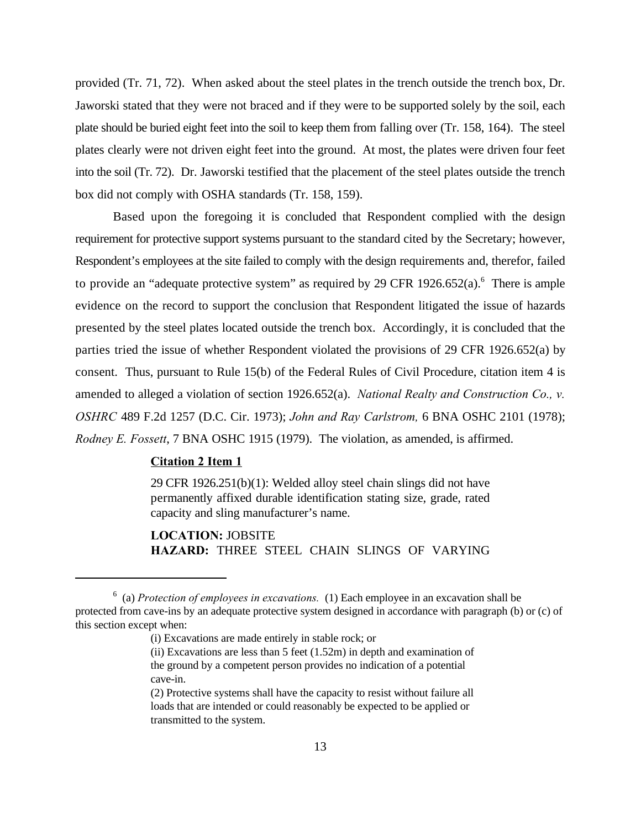provided (Tr. 71, 72). When asked about the steel plates in the trench outside the trench box, Dr. Jaworski stated that they were not braced and if they were to be supported solely by the soil, each plate should be buried eight feet into the soil to keep them from falling over (Tr. 158, 164). The steel plates clearly were not driven eight feet into the ground. At most, the plates were driven four feet into the soil (Tr. 72). Dr. Jaworski testified that the placement of the steel plates outside the trench box did not comply with OSHA standards (Tr. 158, 159).

Based upon the foregoing it is concluded that Respondent complied with the design requirement for protective support systems pursuant to the standard cited by the Secretary; however, Respondent's employees at the site failed to comply with the design requirements and, therefor, failed to provide an "adequate protective system" as required by 29 CFR 1926.652(a).<sup>6</sup> There is ample evidence on the record to support the conclusion that Respondent litigated the issue of hazards presented by the steel plates located outside the trench box. Accordingly, it is concluded that the parties tried the issue of whether Respondent violated the provisions of 29 CFR 1926.652(a) by consent. Thus, pursuant to Rule 15(b) of the Federal Rules of Civil Procedure, citation item 4 is amended to alleged a violation of section 1926.652(a). *National Realty and Construction Co., v. OSHRC* 489 F.2d 1257 (D.C. Cir. 1973); *John and Ray Carlstrom,* 6 BNA OSHC 2101 (1978); *Rodney E. Fossett*, 7 BNA OSHC 1915 (1979). The violation, as amended, is affirmed.

### **Citation 2 Item 1**

29 CFR 1926.251(b)(1): Welded alloy steel chain slings did not have permanently affixed durable identification stating size, grade, rated capacity and sling manufacturer's name.

**LOCATION:** JOBSITE **HAZARD:** THREE STEEL CHAIN SLINGS OF VARYING

(ii) Excavations are less than 5 feet (1.52m) in depth and examination of the ground by a competent person provides no indication of a potential cave-in.

<sup>&</sup>lt;sup>6</sup> (a) *Protection of employees in excavations.* (1) Each employee in an excavation shall be protected from cave-ins by an adequate protective system designed in accordance with paragraph (b) or (c) of this section except when:

<sup>(</sup>i) Excavations are made entirely in stable rock; or

<sup>(2)</sup> Protective systems shall have the capacity to resist without failure all loads that are intended or could reasonably be expected to be applied or transmitted to the system.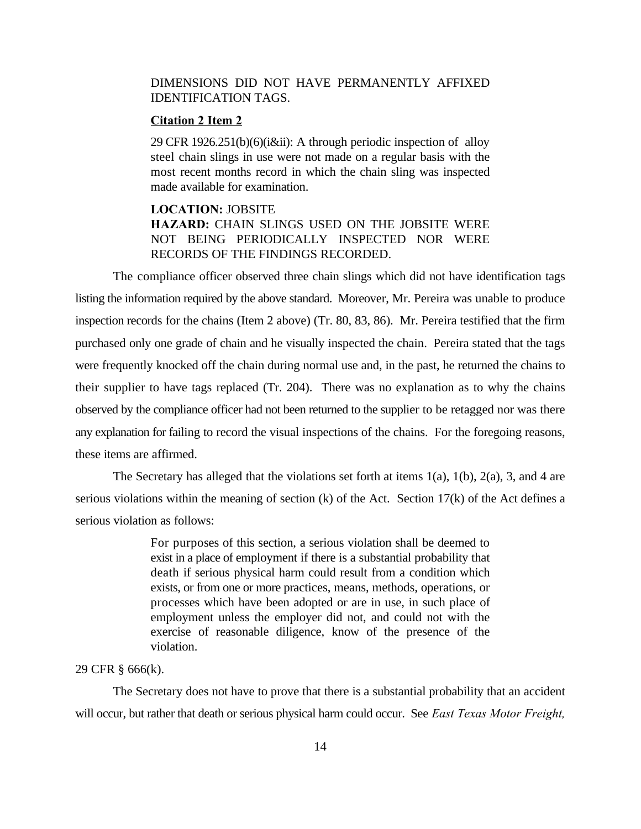# DIMENSIONS DID NOT HAVE PERMANENTLY AFFIXED IDENTIFICATION TAGS.

# **Citation 2 Item 2**

29 CFR 1926.251(b)(6)(i&ii): A through periodic inspection of alloy steel chain slings in use were not made on a regular basis with the most recent months record in which the chain sling was inspected made available for examination.

# **LOCATION:** JOBSITE **HAZARD:** CHAIN SLINGS USED ON THE JOBSITE WERE NOT BEING PERIODICALLY INSPECTED NOR WERE RECORDS OF THE FINDINGS RECORDED.

The compliance officer observed three chain slings which did not have identification tags listing the information required by the above standard. Moreover, Mr. Pereira was unable to produce inspection records for the chains (Item 2 above) (Tr. 80, 83, 86). Mr. Pereira testified that the firm purchased only one grade of chain and he visually inspected the chain. Pereira stated that the tags were frequently knocked off the chain during normal use and, in the past, he returned the chains to their supplier to have tags replaced (Tr. 204). There was no explanation as to why the chains observed by the compliance officer had not been returned to the supplier to be retagged nor was there any explanation for failing to record the visual inspections of the chains. For the foregoing reasons, these items are affirmed.

The Secretary has alleged that the violations set forth at items  $1(a)$ ,  $1(b)$ ,  $2(a)$ , 3, and 4 are serious violations within the meaning of section (k) of the Act. Section 17(k) of the Act defines a serious violation as follows:

> For purposes of this section, a serious violation shall be deemed to exist in a place of employment if there is a substantial probability that death if serious physical harm could result from a condition which exists, or from one or more practices, means, methods, operations, or processes which have been adopted or are in use, in such place of employment unless the employer did not, and could not with the exercise of reasonable diligence, know of the presence of the violation.

## 29 CFR § 666(k).

The Secretary does not have to prove that there is a substantial probability that an accident will occur, but rather that death or serious physical harm could occur. See *East Texas Motor Freight,*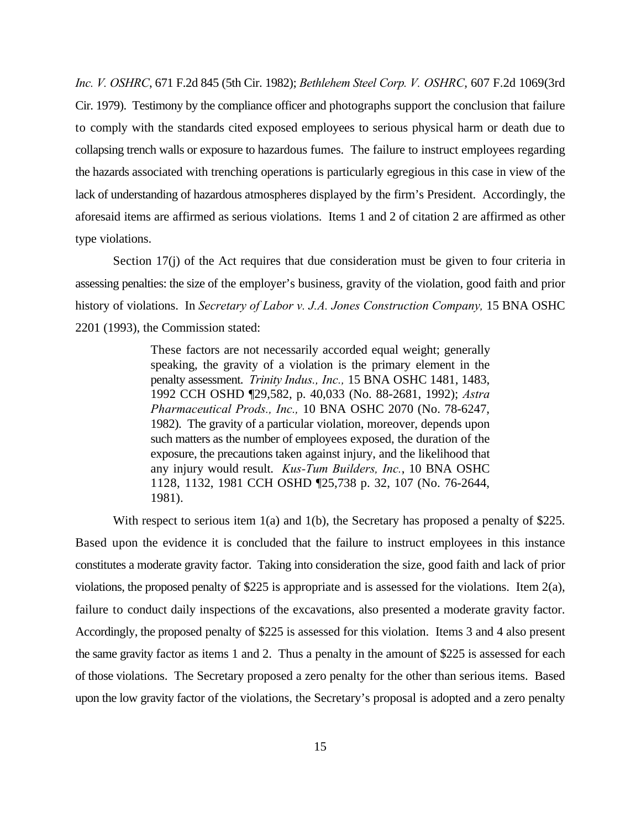*Inc. V. OSHRC*, 671 F.2d 845 (5th Cir. 1982); *Bethlehem Steel Corp. V. OSHRC*, 607 F.2d 1069(3rd Cir. 1979). Testimony by the compliance officer and photographs support the conclusion that failure to comply with the standards cited exposed employees to serious physical harm or death due to collapsing trench walls or exposure to hazardous fumes. The failure to instruct employees regarding the hazards associated with trenching operations is particularly egregious in this case in view of the lack of understanding of hazardous atmospheres displayed by the firm's President. Accordingly, the aforesaid items are affirmed as serious violations. Items 1 and 2 of citation 2 are affirmed as other type violations.

Section 17(j) of the Act requires that due consideration must be given to four criteria in assessing penalties: the size of the employer's business, gravity of the violation, good faith and prior history of violations. In *Secretary of Labor v. J.A. Jones Construction Company,* 15 BNA OSHC 2201 (1993), the Commission stated:

> These factors are not necessarily accorded equal weight; generally speaking, the gravity of a violation is the primary element in the penalty assessment. *Trinity Indus., Inc.,* 15 BNA OSHC 1481, 1483, 1992 CCH OSHD ¶29,582, p. 40,033 (No. 88-2681, 1992); *Astra Pharmaceutical Prods., Inc.,* 10 BNA OSHC 2070 (No. 78-6247, 1982). The gravity of a particular violation, moreover, depends upon such matters as the number of employees exposed, the duration of the exposure, the precautions taken against injury, and the likelihood that any injury would result. *Kus-Tum Builders, Inc.*, 10 BNA OSHC 1128, 1132, 1981 CCH OSHD ¶25,738 p. 32, 107 (No. 76-2644, 1981).

With respect to serious item 1(a) and 1(b), the Secretary has proposed a penalty of \$225. Based upon the evidence it is concluded that the failure to instruct employees in this instance constitutes a moderate gravity factor. Taking into consideration the size, good faith and lack of prior violations, the proposed penalty of \$225 is appropriate and is assessed for the violations. Item 2(a), failure to conduct daily inspections of the excavations, also presented a moderate gravity factor. Accordingly, the proposed penalty of \$225 is assessed for this violation. Items 3 and 4 also present the same gravity factor as items 1 and 2. Thus a penalty in the amount of \$225 is assessed for each of those violations. The Secretary proposed a zero penalty for the other than serious items. Based upon the low gravity factor of the violations, the Secretary's proposal is adopted and a zero penalty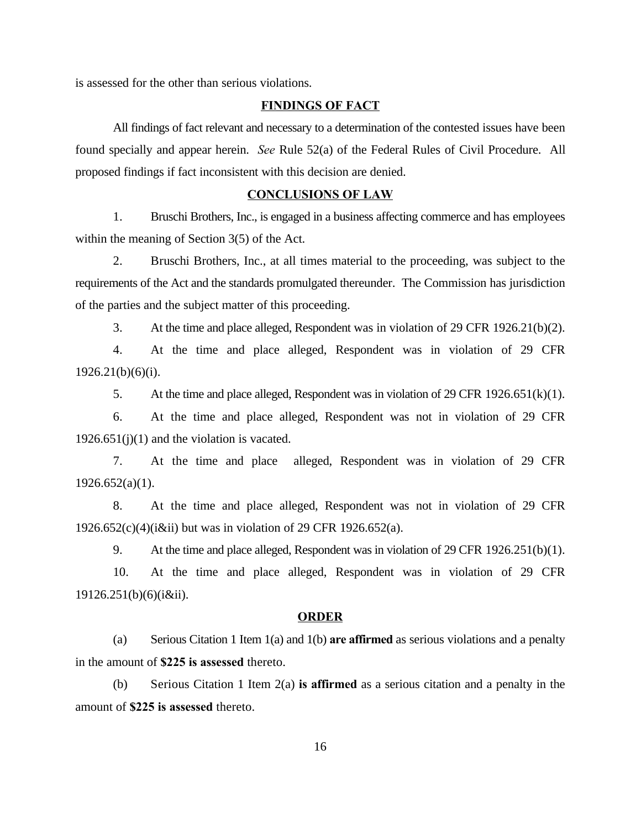is assessed for the other than serious violations.

## **FINDINGS OF FACT**

All findings of fact relevant and necessary to a determination of the contested issues have been found specially and appear herein. *See* Rule 52(a) of the Federal Rules of Civil Procedure. All proposed findings if fact inconsistent with this decision are denied.

## **CONCLUSIONS OF LAW**

1. Bruschi Brothers, Inc., is engaged in a business affecting commerce and has employees within the meaning of Section 3(5) of the Act.

2. Bruschi Brothers, Inc., at all times material to the proceeding, was subject to the requirements of the Act and the standards promulgated thereunder. The Commission has jurisdiction of the parties and the subject matter of this proceeding.

3. At the time and place alleged, Respondent was in violation of 29 CFR 1926.21(b)(2).

4. At the time and place alleged, Respondent was in violation of 29 CFR 1926.21(b)(6)(i).

5. At the time and place alleged, Respondent was in violation of 29 CFR 1926.651(k)(1).

6. At the time and place alleged, Respondent was not in violation of 29 CFR  $1926.651(j)(1)$  and the violation is vacated.

7. At the time and place alleged, Respondent was in violation of 29 CFR  $1926.652(a)(1)$ .

8. At the time and place alleged, Respondent was not in violation of 29 CFR 1926.652(c)(4)(i&ii) but was in violation of 29 CFR 1926.652(a).

9. At the time and place alleged, Respondent was in violation of 29 CFR 1926.251(b)(1).

10. At the time and place alleged, Respondent was in violation of 29 CFR 19126.251(b)(6)(i&ii).

#### **ORDER**

(a) Serious Citation 1 Item 1(a) and 1(b) **are affirmed** as serious violations and a penalty in the amount of **\$225 is assessed** thereto.

(b) Serious Citation 1 Item 2(a) **is affirmed** as a serious citation and a penalty in the amount of **\$225 is assessed** thereto.